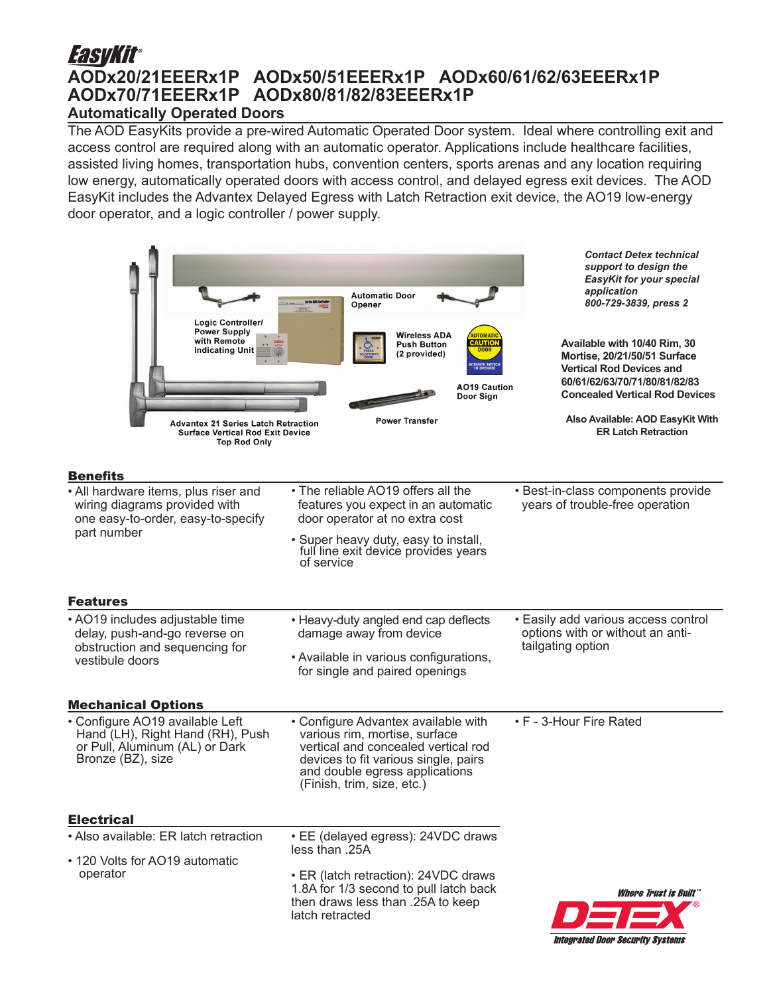## *EasyKit®* **AODx20/21EEERx1P AODx50/51EEERx1P AODx60/61/62/63EEERx1P AODx70/71EEERx1P AODx80/81/82/83EEERx1P**

## **Automatically Operated Doors**

The AOD EasyKits provide a pre-wired Automatic Operated Door system. Ideal where controlling exit and access control are required along with an automatic operator. Applications include healthcare facilities, assisted living homes, transportation hubs, convention centers, sports arenas and any location requiring low energy, automatically operated doors with access control, and delayed egress exit devices. The AOD EasyKit includes the Advantex Delayed Egress with Latch Retraction exit device, the AO19 low-energy door operator, and a logic controller / power supply.